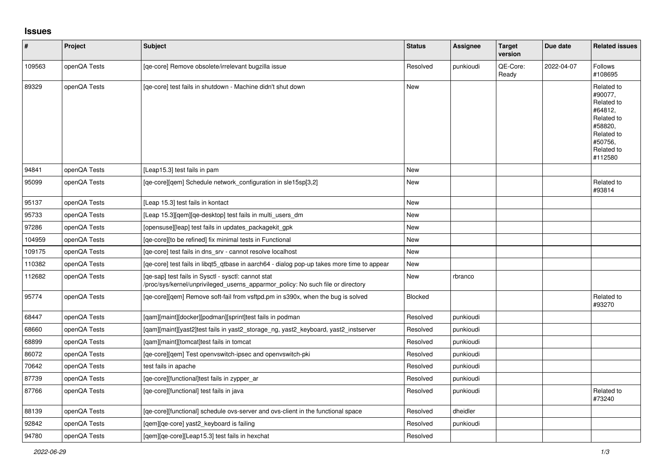## **Issues**

| $\vert$ # | Project      | <b>Subject</b>                                                                                                                         | <b>Status</b>  | Assignee  | <b>Target</b><br>version | Due date   | <b>Related issues</b>                                                                                                     |
|-----------|--------------|----------------------------------------------------------------------------------------------------------------------------------------|----------------|-----------|--------------------------|------------|---------------------------------------------------------------------------------------------------------------------------|
| 109563    | openQA Tests | [qe-core] Remove obsolete/irrelevant bugzilla issue                                                                                    | Resolved       | punkioudi | QE-Core:<br>Ready        | 2022-04-07 | Follows<br>#108695                                                                                                        |
| 89329     | openQA Tests | [ge-core] test fails in shutdown - Machine didn't shut down                                                                            | <b>New</b>     |           |                          |            | Related to<br>#90077,<br>Related to<br>#64812,<br>Related to<br>#58820,<br>Related to<br>#50756,<br>Related to<br>#112580 |
| 94841     | openQA Tests | [Leap15.3] test fails in pam                                                                                                           | <b>New</b>     |           |                          |            |                                                                                                                           |
| 95099     | openQA Tests | [ge-core][gem] Schedule network configuration in sle15sp[3,2]                                                                          | New            |           |                          |            | Related to<br>#93814                                                                                                      |
| 95137     | openQA Tests | [Leap 15.3] test fails in kontact                                                                                                      | <b>New</b>     |           |                          |            |                                                                                                                           |
| 95733     | openQA Tests | [Leap 15.3][qem][qe-desktop] test fails in multi_users_dm                                                                              | <b>New</b>     |           |                          |            |                                                                                                                           |
| 97286     | openQA Tests | [opensuse][leap] test fails in updates packagekit gpk                                                                                  | <b>New</b>     |           |                          |            |                                                                                                                           |
| 104959    | openQA Tests | [qe-core][to be refined] fix minimal tests in Functional                                                                               | <b>New</b>     |           |                          |            |                                                                                                                           |
| 109175    | openQA Tests | [ge-core] test fails in dns srv - cannot resolve localhost                                                                             | <b>New</b>     |           |                          |            |                                                                                                                           |
| 110382    | openQA Tests | [ge-core] test fails in libgt5 gtbase in aarch64 - dialog pop-up takes more time to appear                                             | <b>New</b>     |           |                          |            |                                                                                                                           |
| 112682    | openQA Tests | [qe-sap] test fails in Sysctl - sysctl: cannot stat<br>/proc/sys/kernel/unprivileged_userns_apparmor_policy: No such file or directory | New            | rbranco   |                          |            |                                                                                                                           |
| 95774     | openQA Tests | [qe-core][qem] Remove soft-fail from vsftpd.pm in s390x, when the bug is solved                                                        | <b>Blocked</b> |           |                          |            | Related to<br>#93270                                                                                                      |
| 68447     | openQA Tests | [qam][maint][docker][podman][sprint]test fails in podman                                                                               | Resolved       | punkioudi |                          |            |                                                                                                                           |
| 68660     | openQA Tests | [qam][maint][yast2]test fails in yast2_storage_ng, yast2_keyboard, yast2_instserver                                                    | Resolved       | punkioudi |                          |            |                                                                                                                           |
| 68899     | openQA Tests | [qam][maint][tomcat]test fails in tomcat                                                                                               | Resolved       | punkioudi |                          |            |                                                                                                                           |
| 86072     | openQA Tests | [qe-core][qem] Test openvswitch-ipsec and openvswitch-pki                                                                              | Resolved       | punkioudi |                          |            |                                                                                                                           |
| 70642     | openQA Tests | test fails in apache                                                                                                                   | Resolved       | punkioudi |                          |            |                                                                                                                           |
| 87739     | openQA Tests | [ge-core][functional]test fails in zypper ar                                                                                           | Resolved       | punkioudi |                          |            |                                                                                                                           |
| 87766     | openQA Tests | [qe-core][functional] test fails in java                                                                                               | Resolved       | punkioudi |                          |            | Related to<br>#73240                                                                                                      |
| 88139     | openQA Tests | [qe-core][functional] schedule ovs-server and ovs-client in the functional space                                                       | Resolved       | dheidler  |                          |            |                                                                                                                           |
| 92842     | openQA Tests | [gem][ge-core] yast2 keyboard is failing                                                                                               | Resolved       | punkioudi |                          |            |                                                                                                                           |
| 94780     | openQA Tests | [gem][ge-core][Leap15.3] test fails in hexchat                                                                                         | Resolved       |           |                          |            |                                                                                                                           |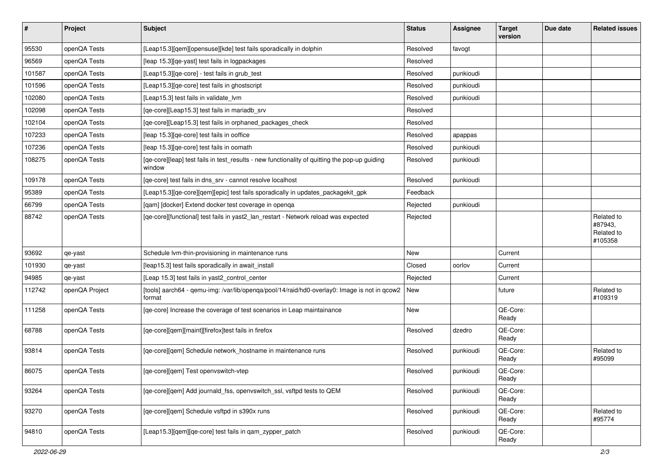| $\vert$ # | Project        | <b>Subject</b>                                                                                          | <b>Status</b> | <b>Assignee</b> | <b>Target</b><br>version | Due date | <b>Related issues</b>                          |
|-----------|----------------|---------------------------------------------------------------------------------------------------------|---------------|-----------------|--------------------------|----------|------------------------------------------------|
| 95530     | openQA Tests   | [Leap15.3][qem][opensuse][kde] test fails sporadically in dolphin                                       | Resolved      | favogt          |                          |          |                                                |
| 96569     | openQA Tests   | [leap 15.3] [qe-yast] test fails in logpackages                                                         | Resolved      |                 |                          |          |                                                |
| 101587    | openQA Tests   | [Leap15.3][qe-core] - test fails in grub_test                                                           | Resolved      | punkioudi       |                          |          |                                                |
| 101596    | openQA Tests   | [Leap15.3][qe-core] test fails in ghostscript                                                           | Resolved      | punkioudi       |                          |          |                                                |
| 102080    | openQA Tests   | [Leap15.3] test fails in validate lvm                                                                   | Resolved      | punkioudi       |                          |          |                                                |
| 102098    | openQA Tests   | [qe-core][Leap15.3] test fails in mariadb_srv                                                           | Resolved      |                 |                          |          |                                                |
| 102104    | openQA Tests   | [qe-core][Leap15.3] test fails in orphaned_packages_check                                               | Resolved      |                 |                          |          |                                                |
| 107233    | openQA Tests   | [leap 15.3] [qe-core] test fails in ooffice                                                             | Resolved      | apappas         |                          |          |                                                |
| 107236    | openQA Tests   | [leap 15.3][qe-core] test fails in oomath                                                               | Resolved      | punkioudi       |                          |          |                                                |
| 108275    | openQA Tests   | [qe-core][leap] test fails in test_results - new functionality of quitting the pop-up guiding<br>window | Resolved      | punkioudi       |                          |          |                                                |
| 109178    | openQA Tests   | [qe-core] test fails in dns_srv - cannot resolve localhost                                              | Resolved      | punkioudi       |                          |          |                                                |
| 95389     | openQA Tests   | [Leap15.3][qe-core][qem][epic] test fails sporadically in updates_packagekit_gpk                        | Feedback      |                 |                          |          |                                                |
| 66799     | openQA Tests   | [qam] [docker] Extend docker test coverage in openqa                                                    | Rejected      | punkioudi       |                          |          |                                                |
| 88742     | openQA Tests   | [qe-core][functional] test fails in yast2_lan_restart - Network reload was expected                     | Rejected      |                 |                          |          | Related to<br>#87943,<br>Related to<br>#105358 |
| 93692     | qe-yast        | Schedule Ivm-thin-provisioning in maintenance runs                                                      | New           |                 | Current                  |          |                                                |
| 101930    | qe-yast        | [leap15.3] test fails sporadically in await_install                                                     | Closed        | oorlov          | Current                  |          |                                                |
| 94985     | qe-yast        | [Leap 15.3] test fails in yast2 control center                                                          | Rejected      |                 | Current                  |          |                                                |
| 112742    | openQA Project | [tools] aarch64 - qemu-img: /var/lib/openqa/pool/14/raid/hd0-overlay0: Image is not in qcow2<br>format  | New           |                 | future                   |          | Related to<br>#109319                          |
| 111258    | openQA Tests   | [qe-core] Increase the coverage of test scenarios in Leap maintainance                                  | New           |                 | QE-Core:<br>Ready        |          |                                                |
| 68788     | openQA Tests   | [qe-core][qem][maint][firefox]test fails in firefox                                                     | Resolved      | dzedro          | QE-Core:<br>Ready        |          |                                                |
| 93814     | openQA Tests   | [qe-core][qem] Schedule network_hostname in maintenance runs                                            | Resolved      | punkioudi       | QE-Core:<br>Ready        |          | Related to<br>#95099                           |
| 86075     | openQA Tests   | [qe-core][qem] Test openvswitch-vtep                                                                    | Resolved      | punkioudi       | QE-Core:<br>Ready        |          |                                                |
| 93264     | openQA Tests   | [qe-core][qem] Add journald_fss, openvswitch_ssl, vsftpd tests to QEM                                   | Resolved      | punkioudi       | QE-Core:<br>Ready        |          |                                                |
| 93270     | openQA Tests   | [qe-core][qem] Schedule vsftpd in s390x runs                                                            | Resolved      | punkioudi       | QE-Core:<br>Ready        |          | Related to<br>#95774                           |
| 94810     | openQA Tests   | [Leap15.3][qem][qe-core] test fails in qam_zypper_patch                                                 | Resolved      | punkioudi       | QE-Core:<br>Ready        |          |                                                |